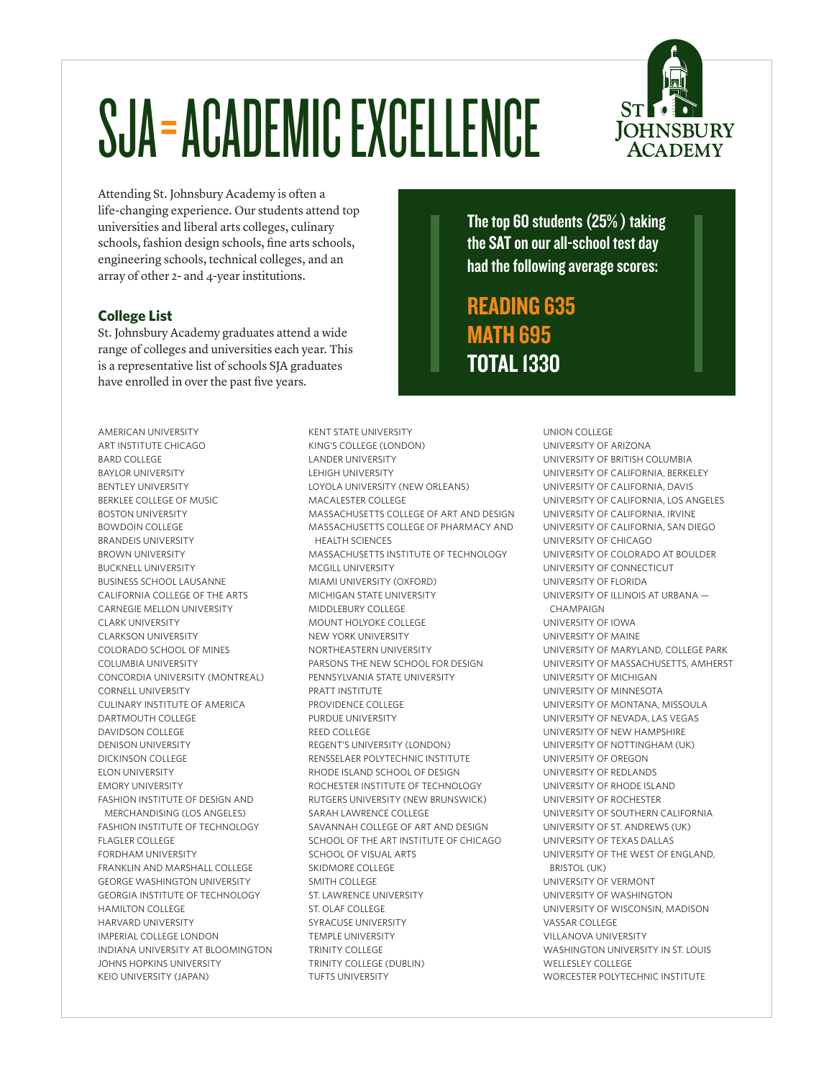# SJA=ACADEMIC EXCELLENCE



Attending St. Johnsbury Academy is often a life-changing experience. Our students attend top universities and liberal arts colleges, culinary schools, fashion design schools, fine arts schools, engineering schools, technical colleges, and an array of other 2- and 4-year institutions.

#### **College List**

St. Johnsbury Academy graduates attend a wide range of colleges and universities each year. This is a representative list of schools SJA graduates have enrolled in over the past five years.

AMERICAN UNIVERSITY ART INSTITUTE CHICAGO BARD COLLEGE BAYLOR UNIVERSITY BENTLEY UNIVERSITY BERKLEE COLLEGE OF MUSIC BOSTON UNIVERSITY BOWDOIN COLLEGE BRANDEIS UNIVERSITY BROWN UNIVERSITY BUCKNELL UNIVERSITY BUSINESS SCHOOL LAUSANNE CALIFORNIA COLLEGE OF THE ARTS CARNEGIE MELLON UNIVERSITY CLARK UNIVERSITY CLARKSON UNIVERSITY COLORADO SCHOOL OF MINES COLUMBIA UNIVERSITY CONCORDIA UNIVERSITY (MONTREAL) CORNELL UNIVERSITY CULINARY INSTITUTE OF AMERICA DARTMOUTH COLLEGE DAVIDSON COLLEGE DENISON UNIVERSITY DICKINSON COLLEGE ELON UNIVERSITY EMORY UNIVERSITY FASHION INSTITUTE OF DESIGN AND MERCHANDISING (LOS ANGELES) FASHION INSTITUTE OF TECHNOLOGY FLAGLER COLLEGE FORDHAM UNIVERSITY FRANKLIN AND MARSHALL COLLEGE GEORGE WASHINGTON UNIVERSITY GEORGIA INSTITUTE OF TECHNOLOGY HAMILTON COLLEGE HARVARD UNIVERSITY IMPERIAL COLLEGE LONDON INDIANA UNIVERSITY AT BLOOMINGTON JOHNS HOPKINS UNIVERSITY KEIO UNIVERSITY (JAPAN)

KENT STATE UNIVERSITY KING'S COLLEGE (LONDON) LANDER UNIVERSITY LEHIGH UNIVERSITY LOYOLA UNIVERSITY (NEW ORLEANS) MACALESTER COLLEGE MASSACHUSETTS COLLEGE OF ART AND DESIGN MASSACHUSETTS COLLEGE OF PHARMACY AND HEALTH SCIENCES MASSACHUSETTS INSTITUTE OF TECHNOLOGY MCGILL UNIVERSITY MIAMI UNIVERSITY (OXFORD) MICHIGAN STATE UNIVERSITY MIDDLEBURY COLLEGE MOUNT HOLYOKE COLLEGE NEW YORK UNIVERSITY NORTHEASTERN UNIVERSITY PARSONS THE NEW SCHOOL FOR DESIGN PENNSYLVANIA STATE UNIVERSITY PRATT INSTITUTE PROVIDENCE COLLEGE PURDUE UNIVERSITY REED COLLEGE REGENT'S UNIVERSITY (LONDON) RENSSELAER POLYTECHNIC INSTITUTE RHODE ISLAND SCHOOL OF DESIGN ROCHESTER INSTITUTE OF TECHNOLOGY RUTGERS UNIVERSITY (NEW BRUNSWICK) SARAH LAWRENCE COLLEGE SAVANNAH COLLEGE OF ART AND DESIGN SCHOOL OF THE ART INSTITUTE OF CHICAGO SCHOOL OF VISUAL ARTS SKIDMORE COLLEGE SMITH COLLEGE ST. LAWRENCE UNIVERSITY ST. OLAF COLLEGE SYRACUSE UNIVERSITY TEMPLE UNIVERSITY TRINITY COLLEGE TRINITY COLLEGE (DUBLIN) TUFTS UNIVERSITY

The top 60 students (25% ) taking the SAT on our all-school test day had the following average scores:

READING 635 MATH 695 TOTAL 1330

> UNION COLLEGE UNIVERSITY OF ARIZONA UNIVERSITY OF BRITISH COLUMBIA UNIVERSITY OF CALIFORNIA, BERKELEY UNIVERSITY OF CALIFORNIA, DAVIS UNIVERSITY OF CALIFORNIA, LOS ANGELES UNIVERSITY OF CALIFORNIA, IRVINE UNIVERSITY OF CALIFORNIA, SAN DIEGO UNIVERSITY OF CHICAGO UNIVERSITY OF COLORADO AT BOULDER UNIVERSITY OF CONNECTICUT UNIVERSITY OF FLORIDA UNIVERSITY OF ILLINOIS AT URBANA — CHAMPAIGN UNIVERSITY OF IOWA UNIVERSITY OF MAINE UNIVERSITY OF MARYLAND, COLLEGE PARK UNIVERSITY OF MASSACHUSETTS, AMHERST UNIVERSITY OF MICHIGAN UNIVERSITY OF MINNESOTA UNIVERSITY OF MONTANA, MISSOULA UNIVERSITY OF NEVADA, LAS VEGAS UNIVERSITY OF NEW HAMPSHIRE UNIVERSITY OF NOTTINGHAM (UK) UNIVERSITY OF OREGON UNIVERSITY OF REDLANDS UNIVERSITY OF RHODE ISLAND UNIVERSITY OF ROCHESTER UNIVERSITY OF SOUTHERN CALIFORNIA UNIVERSITY OF ST. ANDREWS (UK) UNIVERSITY OF TEXAS DALLAS UNIVERSITY OF THE WEST OF ENGLAND, BRISTOL (UK) UNIVERSITY OF VERMONT UNIVERSITY OF WASHINGTON UNIVERSITY OF WISCONSIN, MADISON VASSAR COLLEGE VILLANOVA UNIVERSITY WASHINGTON UNIVERSITY IN ST. LOUIS WELLESLEY COLLEGE WORCESTER POLYTECHNIC INSTITUTE